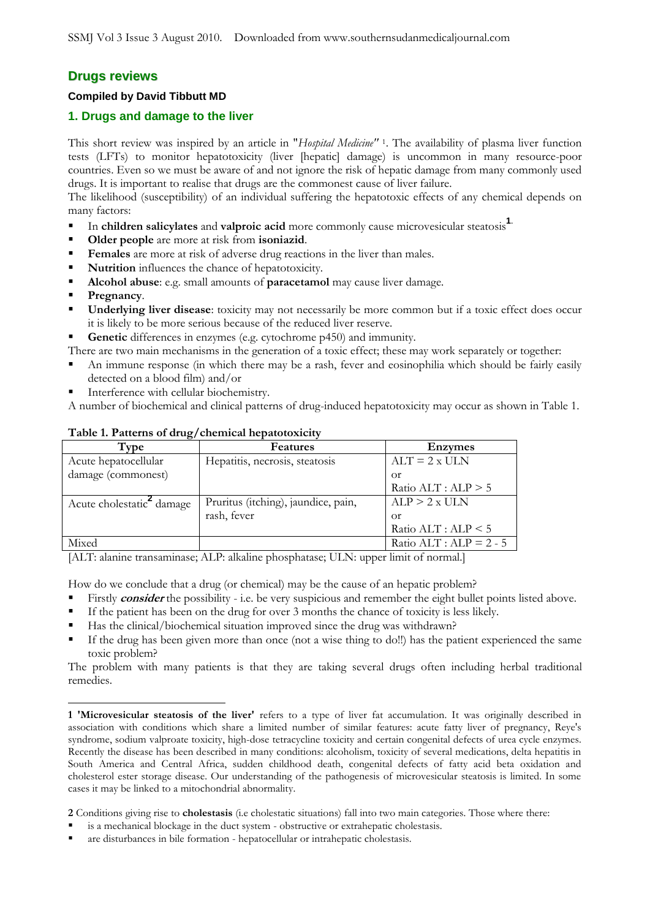# **Drugs reviews**

### **Compiled by David Tibbutt MD**

# **1. Drugs and damage to the liver**

This short review was inspired by an article in "*Hospital Medicine"* <sup>1</sup> . The availability of plasma liver function tests (LFTs) to monitor hepatotoxicity (liver [hepatic] damage) is uncommon in many resource-poor countries. Even so we must be aware of and not ignore the risk of hepatic damage from many commonly used drugs. It is important to realise that drugs are the commonest cause of liver failure.

The likelihood (susceptibility) of an individual suffering the hepatotoxic effects of any chemical depends on many factors:

- In **children salicylates** and **valproic acid** more commonly cause microvesicular steatosis**1**.
- **Older people** are more at risk from **isoniazid**.
- **Females** are more at risk of adverse drug reactions in the liver than males.
- **Nutrition** influences the chance of hepatotoxicity.
- **Alcohol abuse**: e.g. small amounts of **paracetamol** may cause liver damage.
- **Pregnancy.**

 $\overline{a}$ 

- **Underlying liver disease**: toxicity may not necessarily be more common but if a toxic effect does occur it is likely to be more serious because of the reduced liver reserve.
- Genetic differences in enzymes (e.g. cytochrome p450) and immunity.

There are two main mechanisms in the generation of a toxic effect; these may work separately or together:

- An immune response (in which there may be a rash, fever and eosinophilia which should be fairly easily detected on a blood film) and/or
- Interference with cellular biochemistry.

A number of biochemical and clinical patterns of drug-induced hepatotoxicity may occur as shown in Table 1.

| Type                                  | <b>Features</b>                     | <b>Enzymes</b>              |
|---------------------------------------|-------------------------------------|-----------------------------|
| Acute hepatocellular                  | Hepatitis, necrosis, steatosis      | $ALT = 2 x ULN$             |
| damage (commonest)                    |                                     | 0r                          |
|                                       |                                     | Ratio $ALT: ALP > 5$        |
| Acute cholestatic <sup>2</sup> damage | Pruritus (itching), jaundice, pain, | ALP > 2 x ULN               |
|                                       | rash, fever                         | Оr                          |
|                                       |                                     | Ratio $ALT: ALP < 5$        |
| Mixed                                 |                                     | Ratio $ALT$ : $ALP = 2 - 5$ |

### **Table 1. Patterns of drug/chemical hepatotoxicity**

[ALT: alanine transaminase; ALP: alkaline phosphatase; ULN: upper limit of normal.]

How do we conclude that a drug (or chemical) may be the cause of an hepatic problem?

- Firstly **consider** the possibility i.e. be very suspicious and remember the eight bullet points listed above.
- If the patient has been on the drug for over 3 months the chance of toxicity is less likely.
- Has the clinical/biochemical situation improved since the drug was withdrawn?
- If the drug has been given more than once (not a wise thing to do!!) has the patient experienced the same toxic problem?

The problem with many patients is that they are taking several drugs often including herbal traditional remedies.

**2** Conditions giving rise to **cholestasis** (i.e cholestatic situations) fall into two main categories. Those where there:

- is a mechanical blockage in the duct system obstructive or extrahepatic cholestasis.
- are disturbances in bile formation hepatocellular or intrahepatic cholestasis.

**<sup>1</sup> 'Microvesicular steatosis of the liver'** refers to a type of liver fat accumulation. It was originally described in association with conditions which share a limited number of similar features: acute fatty liver of pregnancy, Reye's syndrome, sodium valproate toxicity, high-dose tetracycline toxicity and certain congenital defects of urea cycle enzymes. Recently the disease has been described in many conditions: alcoholism, toxicity of several medications, delta hepatitis in South America and Central Africa, sudden childhood death, congenital defects of fatty acid beta oxidation and cholesterol ester storage disease. Our understanding of the pathogenesis of microvesicular steatosis is limited. In some cases it may be linked to a mitochondrial abnormality.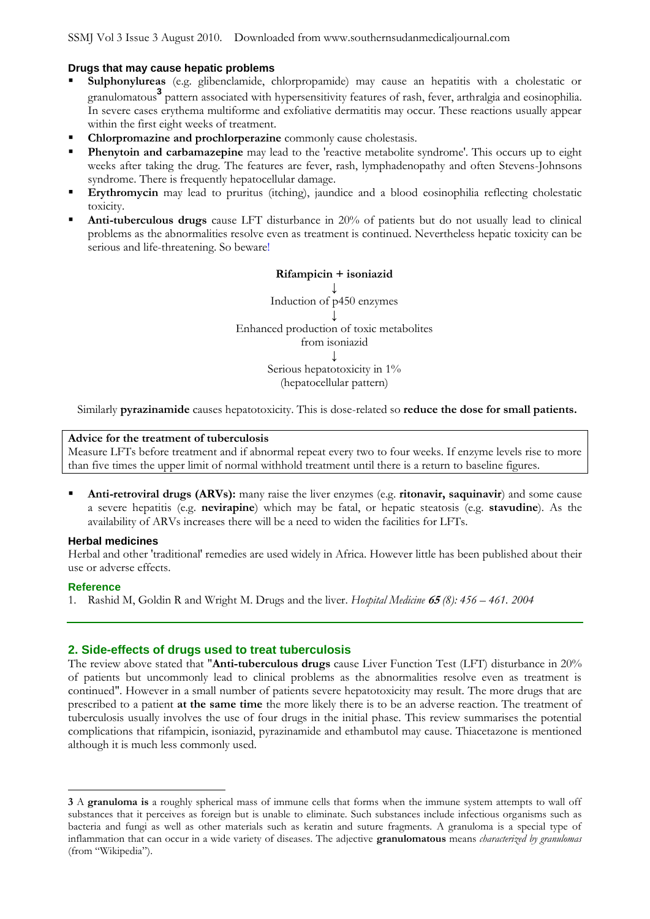### **Drugs that may cause hepatic problems**

- Sulphonylureas (e.g. glibenclamide, chlorpropamide) may cause an hepatitis with a cholestatic or granulomatous<sup>3</sup> pattern associated with hypersensitivity features of rash, fever, arthralgia and eosinophilia. In severe cases erythema multiforme and exfoliative dermatitis may occur. These reactions usually appear within the first eight weeks of treatment.
- **Chlorpromazine and prochlorperazine** commonly cause cholestasis.
- **Phenytoin and carbamazepine** may lead to the 'reactive metabolite syndrome'. This occurs up to eight weeks after taking the drug. The features are fever, rash, lymphadenopathy and often Stevens-Johnsons syndrome. There is frequently hepatocellular damage.
- **Erythromycin** may lead to pruritus (itching), jaundice and a blood eosinophilia reflecting cholestatic toxicity.
- **Anti-tuberculous drugs** cause LFT disturbance in 20% of patients but do not usually lead to clinical problems as the abnormalities resolve even as treatment is continued. Nevertheless hepatic toxicity can be serious and life-threatening. So beware!

**Rifampicin + isoniazid ↓** Induction of p450 enzymes **↓** Enhanced production of toxic metabolites from isoniazid **↓** Serious hepatotoxicity in  $1\%$ (hepatocellular pattern)

Similarly **pyrazinamide** causes hepatotoxicity. This is dose-related so **reduce the dose for small patients.**

#### **Advice for the treatment of tuberculosis**

Measure LFTs before treatment and if abnormal repeat every two to four weeks. If enzyme levels rise to more than five times the upper limit of normal withhold treatment until there is a return to baseline figures.

 **Anti-retroviral drugs (ARVs):** many raise the liver enzymes (e.g. **ritonavir, saquinavir**) and some cause a severe hepatitis (e.g. **nevirapine**) which may be fatal, or hepatic steatosis (e.g. **stavudine**). As the availability of ARVs increases there will be a need to widen the facilities for LFTs.

#### **Herbal medicines**

Herbal and other 'traditional' remedies are used widely in Africa. However little has been published about their use or adverse effects.

#### **Reference**

 $\overline{a}$ 

1. Rashid M, Goldin R and Wright M. Drugs and the liver. *Hospital Medicine* **<sup>65</sup>** *(8): 456 – 461. 2004*

#### **2. Side-effects of drugs used to treat tuberculosis**

The review above stated that "**Anti-tuberculous drugs** cause Liver Function Test (LFT) disturbance in 20% of patients but uncommonly lead to clinical problems as the abnormalities resolve even as treatment is continued". However in a small number of patients severe hepatotoxicity may result. The more drugs that are prescribed to a patient **at the same time** the more likely there is to be an adverse reaction. The treatment of tuberculosis usually involves the use of four drugs in the initial phase. This review summarises the potential complications that rifampicin, isoniazid, pyrazinamide and ethambutol may cause. Thiacetazone is mentioned although it is much less commonly used.

**<sup>3</sup>** A **granuloma is** a roughly spherical mass of immune cells that forms when the immune system attempts to wall off substances that it perceives as foreign but is unable to eliminate. Such substances include infectious organisms such as bacteria and fungi as well as other materials such as keratin and suture fragments. A granuloma is a special type of inflammation that can occur in a wide variety of diseases. The adjective **granulomatous** means *characterized by granulomas* (from "Wikipedia").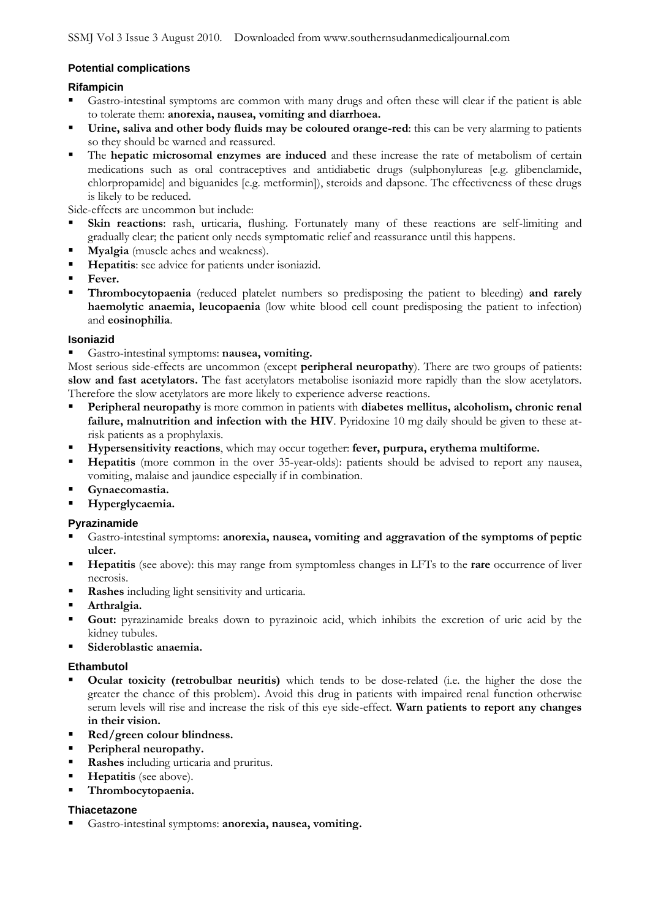### **Potential complications**

### **Rifampicin**

- Gastro-intestinal symptoms are common with many drugs and often these will clear if the patient is able to tolerate them: **anorexia, nausea, vomiting and diarrhoea.**
- **Urine, saliva and other body fluids may be coloured orange-red**: this can be very alarming to patients so they should be warned and reassured.
- The **hepatic microsomal enzymes are induced** and these increase the rate of metabolism of certain medications such as oral contraceptives and antidiabetic drugs (sulphonylureas [e.g. glibenclamide, chlorpropamide] and biguanides [e.g. metformin]), steroids and dapsone. The effectiveness of these drugs is likely to be reduced.

Side-effects are uncommon but include:

- **Skin reactions**: rash, urticaria, flushing. Fortunately many of these reactions are self-limiting and gradually clear; the patient only needs symptomatic relief and reassurance until this happens.
- **Myalgia** (muscle aches and weakness).
- **Hepatitis**: see advice for patients under isoniazid.
- **Fever.**
- **Thrombocytopaenia** (reduced platelet numbers so predisposing the patient to bleeding) **and rarely haemolytic anaemia, leucopaenia** (low white blood cell count predisposing the patient to infection) and **eosinophilia**.

### **Isoniazid**

Gastro-intestinal symptoms: **nausea, vomiting.**

Most serious side-effects are uncommon (except **peripheral neuropathy**). There are two groups of patients: **slow and fast acetylators.** The fast acetylators metabolise isoniazid more rapidly than the slow acetylators. Therefore the slow acetylators are more likely to experience adverse reactions.

- **Peripheral neuropathy** is more common in patients with **diabetes mellitus, alcoholism, chronic renal failure, malnutrition and infection with the HIV**. Pyridoxine 10 mg daily should be given to these atrisk patients as a prophylaxis.
- **Hypersensitivity reactions**, which may occur together: **fever, purpura, erythema multiforme.**
- **Hepatitis** (more common in the over 35-year-olds): patients should be advised to report any nausea, vomiting, malaise and jaundice especially if in combination.
- **Gynaecomastia.**
- **Hyperglycaemia.**

# **Pyrazinamide**

- Gastro-intestinal symptoms: **anorexia, nausea, vomiting and aggravation of the symptoms of peptic ulcer.**
- **Hepatitis** (see above): this may range from symptomless changes in LFTs to the **rare** occurrence of liver necrosis.
- **Rashes** including light sensitivity and urticaria.
- **Arthralgia.**
- **Gout:** pyrazinamide breaks down to pyrazinoic acid, which inhibits the excretion of uric acid by the kidney tubules.
- **Sideroblastic anaemia.**

### **Ethambutol**

- **Ocular toxicity (retrobulbar neuritis)** which tends to be dose-related (i.e. the higher the dose the greater the chance of this problem)**.** Avoid this drug in patients with impaired renal function otherwise serum levels will rise and increase the risk of this eye side-effect. **Warn patients to report any changes in their vision.**
- **Red/green colour blindness.**
- **Peripheral neuropathy.**
- **Rashes** including urticaria and pruritus.
- **Hepatitis** (see above).
- **Thrombocytopaenia.**

### **Thiacetazone**

Gastro-intestinal symptoms: **anorexia, nausea, vomiting.**